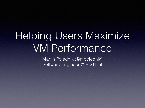## Helping Users Maximize VM Performance

Martin Polednik (@mpolednik) Software Engineer @ Red Hat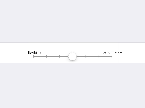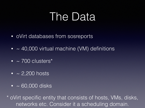## The Data

- oVirt databases from sosreports
- $\bullet$  ~ 40,000 virtual machine (VM) definitions
- $\cdot$  ~ 700 clusters\*
- $\cdot$  ~ 2,200 hosts
- $\cdot$  ~ 60,000 disks

\* oVirt specific entity that consists of hosts, VMs, disks, networks etc. Consider it a scheduling domain.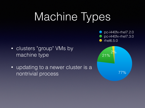# Machine Types

pc-i440fx-rhel7.2.0 pc-i440fx-rhel7.3.0  $\bullet$  rhel6.5.0

- clusters "group" VMs by machine type
- updating to a newer cluster is a nontrivial process

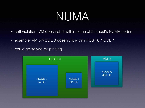## NUMA

- soft violation: VM does not fit within some of the host's NUMA nodes
- example: VM 0:NODE 0 doesn't fit within HOST 0:NODE 1
- could be solved by pinning

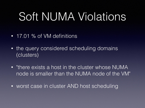## Soft NUMA Violations

- 17.01 % of VM definitions
- the query considered scheduling domains (clusters)
- "there exists a host in the cluster whose NUMA node is smaller than the NUMA node of the VM"
- worst case in cluster AND host scheduling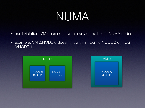## NUMA

- hard violation: VM does not fit within any of the host's NUMA nodes
- example: VM 0:NODE 0 doesn't fit within HOST 0:NODE 0 or HOST 0:NODE 1

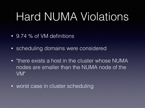## Hard NUMA Violations

- 9.74 % of VM definitions
- scheduling domains were considered
- "there exists a host in the cluster whose NUMA nodes are smaller than the NUMA node of the VM"
- worst case in cluster scheduling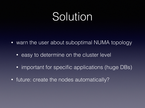## Solution

- warn the user about suboptimal NUMA topology
	- easy to determine on the cluster level
	- important for specific applications (huge DBs)
- future: create the nodes automatically?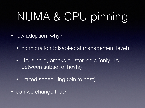# NUMA & CPU pinning

- low adoption, why?
	- no migration (disabled at management level)
	- HA is hard, breaks cluster logic (only HA between subset of hosts)
	- limited scheduling (pin to host)
- can we change that?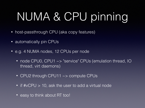# NUMA & CPU pinning

- host-passthrough CPU (aka copy features)
- automatically pin CPUs
- e.g. 4 NUMA nodes, 12 CPUs per node
	- node CPU0, CPU1 ~> "service" CPUs (emulation thread, IO thread, virt daemons)
	- CPU2 through CPU11 ~> compute CPUs
	- if #vCPU > 10, ask the user to add a virtual node
	- easy to think about RT too!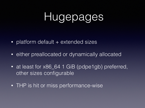## Hugepages

- platform default + extended sizes
- either preallocated or dynamically allocated
- at least for x86\_64 1 GiB (pdpe1gb) preferred, other sizes configurable
- THP is hit or miss performance-wise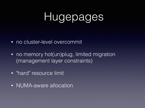## Hugepages

- no cluster-level overcommit
- no memory hot(un)plug, limited migration (management layer constraints)
- "hard" resource limit
- NUMA-aware allocation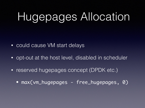# Hugepages Allocation

- could cause VM start delays
- opt-out at the host level, disabled in scheduler
- reserved hugepages concept (DPDK etc.)
	- max(vm\_hugepages free\_hugepages, 0)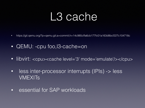### L3 cache

- https://git.qemu.org/?p=qemu.git;a=commit;h=14c985cffa6cb177fc01a163d8bcf227c104718c
- QEMU: -cpu foo, B-cache=on
- libvirt: <cpu><cache level='3' mode='emulate'/></cpu>
- less inter-processor interrupts (IPIs) -> less VMEXITs
- essential for SAP workloads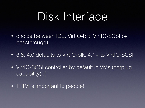## Disk Interface

- choice between IDE, VirtIO-blk, VirtIO-SCSI (+ passthrough)
- 3.6, 4.0 defaults to VirtIO-blk, 4.1+ to VirtIO-SCSI
- VirtIO-SCSI controller by default in VMs (hotplug capability) :(
- TRIM is important to people!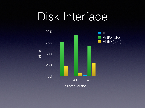## Disk Interface

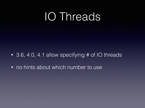## IO Threads

- 3.6, 4.0, 4.1 allow specifying # of IO threads
- no hints about which number to use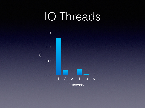## IO Threads

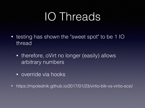## IO Threads

- testing has shown the "sweet spot" to be 1 IO thread
	- therefore, oVirt no longer (easily) allows arbitrary numbers
	- override via hooks
- https://mpolednik.github.io/2017/01/23/virtio-blk-vs-virtio-scsi/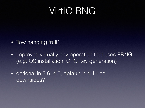#### VirtIO RNG

- "low hanging fruit"
- improves virtually any operation that uses PRNG (e.g. OS installation, GPG key generation)
- optional in 3.6, 4.0, default in 4.1 no downsides?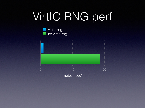# VirtIO RNG perf

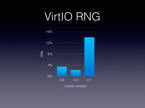## VirtIO RNG

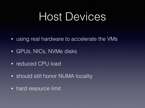## Host Devices

- using real hardware to accelerate the VMs
- GPUs, NICs, NVMe disks
- reduced CPU load
- should still honor NUMA locality
- hard resource limit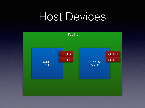## Host Devices

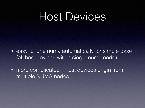## Host Devices

- easy to tune numa automatically for simple case (all host devices within single numa node)
- more complicated if host devices origin from multiple NUMA nodes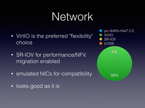## Network

- VirtIO is the preferred "flexibility" choice
- SR-IOV for performance/NFV, migration enabled
- emulated NICs for compatibility
- looks good as it is

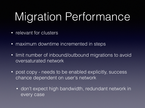# Migration Performance

- relevant for clusters
- maximum downtime incremented in steps
- limit number of inbound/outbound migrations to avoid oversaturated network
- post copy needs to be enabled explicitly, success chance dependent on user's network
	- don't expect high bandwidth, redundant network in every case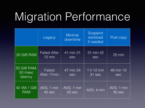# Migration Performance

|                                   | Legacy                                  | <b>Minimal</b><br>downtime | Suspend<br>workload<br>if needed | Post copy               |
|-----------------------------------|-----------------------------------------|----------------------------|----------------------------------|-------------------------|
| 20 GiB RAM                        | <b>Failed After</b><br>$12 \text{ min}$ | 41 min 31<br>sec           | 31 min 42<br>sec                 | $25 \text{ min}$        |
| 20 GiB RAM,<br>50 msec<br>latency | Failed<br>After 17min                   | 47 min 24<br>sec           | 1 h 12 min<br>31 sec             | 48 min 10<br><b>Sec</b> |
| 40 VM, 1 GiB<br><b>RAM</b>        | AVG: 1 min<br>40 sec                    | AVG: 1 min<br>50 sec       | AVG: 4 min                       | AVG: 1 min<br>30 sec    |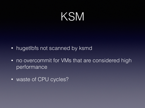## KSM

- hugetlbfs not scanned by ksmd
- no overcommit for VMs that are considered high performance
- waste of CPU cycles?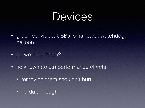### Devices

- graphics, video, USBs, smartcard, watchdog, balloon
- do we need them?
- no known (to us) performance effects
	- removing them shouldn't hurt
	- no data though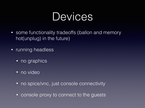### Devices

- some functionality tradeoffs (ballon and memory hot(unplug) in the future)
- **•** running headless
	- no graphics
	- no video
	- no spice/vnc, just console connectivity
	- console proxy to connect to the guests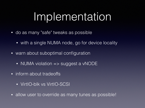## Implementation

- do as many "safe" tweaks as possible
	- with a single NUMA node, go for device locality
- warn about suboptimal configuration
	- NUMA violation => suggest a vNODE
- inform about tradeoffs
	- VirtIO-blk vs VirtIO-SCSI
- allow user to override as many tunes as possible!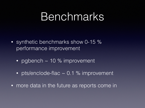### Benchmarks

- synthetic benchmarks show 0-15 % performance improvement
	- pgbench ~ 10 % improvement
	- pts/enclode-flac ~ 0.1 % improvement
- more data in the future as reports come in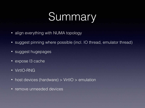# Summary

- align everything with NUMA topology
- suggest pinning where possible (incl. IO thread, emulator thread)
- suggest hugepages
- expose 13 cache
- VirtIO-RNG
- host devices (hardware) > VirtIO > emulation
- remove unneeded devices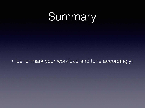## Summary

• benchmark your workload and tune accordingly!